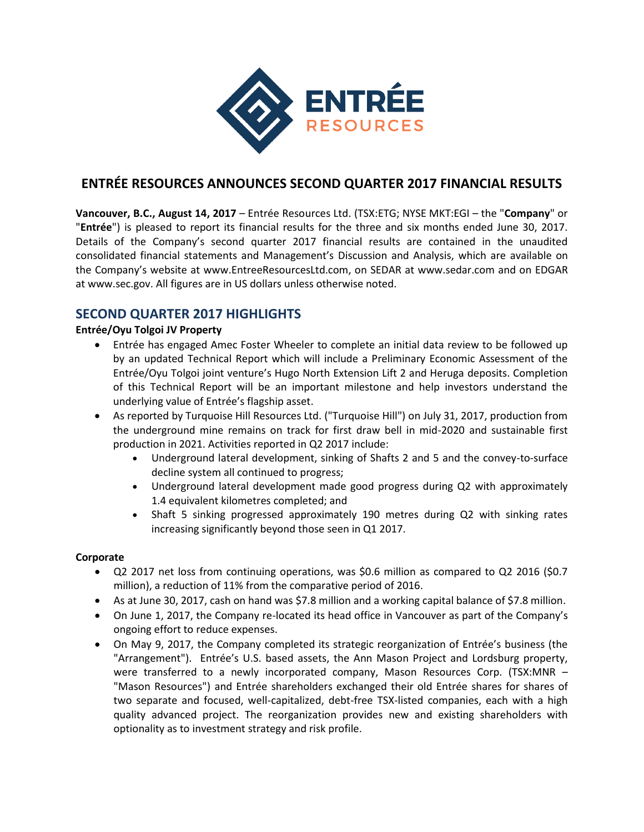

# **ENTRÉE RESOURCES ANNOUNCES SECOND QUARTER 2017 FINANCIAL RESULTS**

**Vancouver, B.C., August 14, 2017** – Entrée Resources Ltd. (TSX:ETG; NYSE MKT:EGI – the "**Company**" or "**Entrée**") is pleased to report its financial results for the three and six months ended June 30, 2017. Details of the Company's second quarter 2017 financial results are contained in the unaudited consolidated financial statements and Management's Discussion and Analysis, which are available on the Company's website at www.EntreeResourcesLtd.com, on SEDAR at www.sedar.com and on EDGAR at www.sec.gov. All figures are in US dollars unless otherwise noted.

# **SECOND QUARTER 2017 HIGHLIGHTS**

## **Entrée/Oyu Tolgoi JV Property**

- Entrée has engaged Amec Foster Wheeler to complete an initial data review to be followed up by an updated Technical Report which will include a Preliminary Economic Assessment of the Entrée/Oyu Tolgoi joint venture's Hugo North Extension Lift 2 and Heruga deposits. Completion of this Technical Report will be an important milestone and help investors understand the underlying value of Entrée's flagship asset.
- As reported by Turquoise Hill Resources Ltd. ("Turquoise Hill") on July 31, 2017, production from the underground mine remains on track for first draw bell in mid-2020 and sustainable first production in 2021. Activities reported in Q2 2017 include:
	- Underground lateral development, sinking of Shafts 2 and 5 and the convey-to-surface decline system all continued to progress;
	- Underground lateral development made good progress during Q2 with approximately 1.4 equivalent kilometres completed; and
	- Shaft 5 sinking progressed approximately 190 metres during Q2 with sinking rates increasing significantly beyond those seen in Q1 2017.

## **Corporate**

- Q2 2017 net loss from continuing operations, was \$0.6 million as compared to Q2 2016 (\$0.7 million), a reduction of 11% from the comparative period of 2016.
- As at June 30, 2017, cash on hand was \$7.8 million and a working capital balance of \$7.8 million.
- On June 1, 2017, the Company re-located its head office in Vancouver as part of the Company's ongoing effort to reduce expenses.
- On May 9, 2017, the Company completed its strategic reorganization of Entrée's business (the "Arrangement"). Entrée's U.S. based assets, the Ann Mason Project and Lordsburg property, were transferred to a newly incorporated company, Mason Resources Corp. (TSX:MNR – "Mason Resources") and Entrée shareholders exchanged their old Entrée shares for shares of two separate and focused, well-capitalized, debt-free TSX-listed companies, each with a high quality advanced project. The reorganization provides new and existing shareholders with optionality as to investment strategy and risk profile.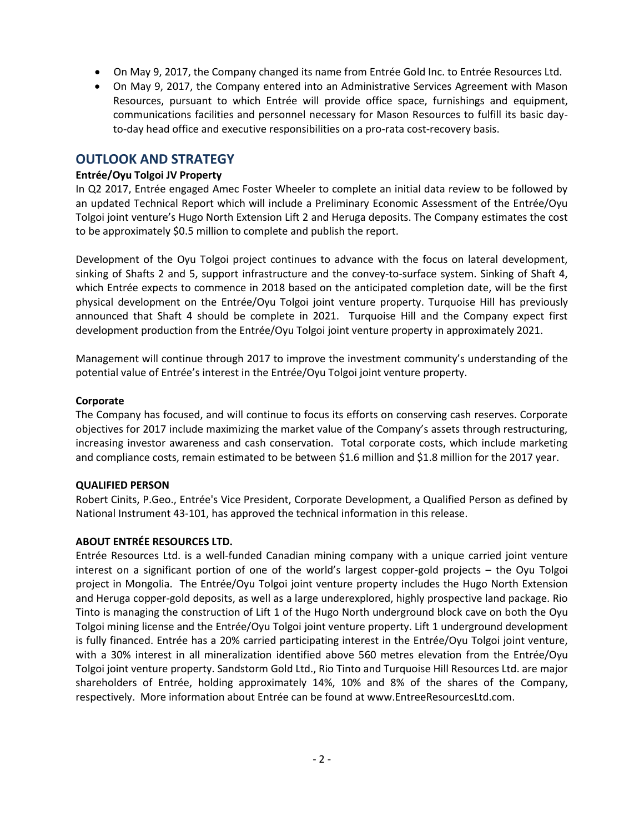- On May 9, 2017, the Company changed its name from Entrée Gold Inc. to Entrée Resources Ltd.
- On May 9, 2017, the Company entered into an Administrative Services Agreement with Mason Resources, pursuant to which Entrée will provide office space, furnishings and equipment, communications facilities and personnel necessary for Mason Resources to fulfill its basic dayto-day head office and executive responsibilities on a pro-rata cost-recovery basis.

# **OUTLOOK AND STRATEGY**

### **Entrée/Oyu Tolgoi JV Property**

In Q2 2017, Entrée engaged Amec Foster Wheeler to complete an initial data review to be followed by an updated Technical Report which will include a Preliminary Economic Assessment of the Entrée/Oyu Tolgoi joint venture's Hugo North Extension Lift 2 and Heruga deposits. The Company estimates the cost to be approximately \$0.5 million to complete and publish the report.

Development of the Oyu Tolgoi project continues to advance with the focus on lateral development, sinking of Shafts 2 and 5, support infrastructure and the convey-to-surface system. Sinking of Shaft 4, which Entrée expects to commence in 2018 based on the anticipated completion date, will be the first physical development on the Entrée/Oyu Tolgoi joint venture property. Turquoise Hill has previously announced that Shaft 4 should be complete in 2021. Turquoise Hill and the Company expect first development production from the Entrée/Oyu Tolgoi joint venture property in approximately 2021.

Management will continue through 2017 to improve the investment community's understanding of the potential value of Entrée's interest in the Entrée/Oyu Tolgoi joint venture property.

### **Corporate**

The Company has focused, and will continue to focus its efforts on conserving cash reserves. Corporate objectives for 2017 include maximizing the market value of the Company's assets through restructuring, increasing investor awareness and cash conservation. Total corporate costs, which include marketing and compliance costs, remain estimated to be between \$1.6 million and \$1.8 million for the 2017 year.

### **QUALIFIED PERSON**

Robert Cinits, P.Geo., Entrée's Vice President, Corporate Development, a Qualified Person as defined by National Instrument 43-101, has approved the technical information in this release.

### **ABOUT ENTRÉE RESOURCES LTD.**

Entrée Resources Ltd. is a well-funded Canadian mining company with a unique carried joint venture interest on a significant portion of one of the world's largest copper-gold projects – the Oyu Tolgoi project in Mongolia. The Entrée/Oyu Tolgoi joint venture property includes the Hugo North Extension and Heruga copper-gold deposits, as well as a large underexplored, highly prospective land package. Rio Tinto is managing the construction of Lift 1 of the Hugo North underground block cave on both the Oyu Tolgoi mining license and the Entrée/Oyu Tolgoi joint venture property. Lift 1 underground development is fully financed. Entrée has a 20% carried participating interest in the Entrée/Oyu Tolgoi joint venture, with a 30% interest in all mineralization identified above 560 metres elevation from the Entrée/Oyu Tolgoi joint venture property. Sandstorm Gold Ltd., Rio Tinto and Turquoise Hill Resources Ltd. are major shareholders of Entrée, holding approximately 14%, 10% and 8% of the shares of the Company, respectively. More information about Entrée can be found at www.EntreeResourcesLtd.com.